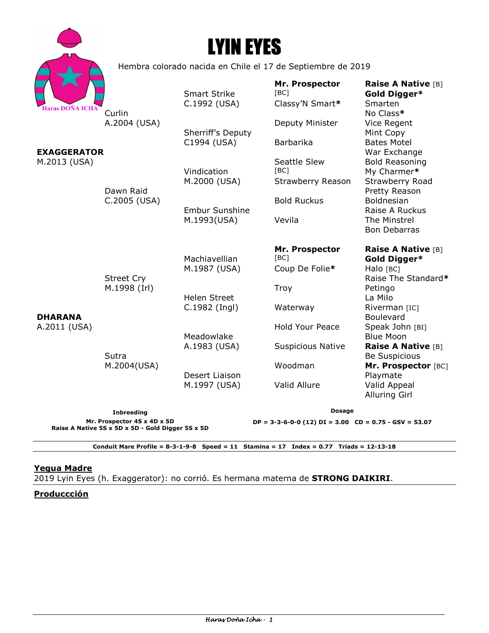|                                                                                  |                                                             | <b>LYIN EYES</b>                                     |                                                                |                                                                                                     |
|----------------------------------------------------------------------------------|-------------------------------------------------------------|------------------------------------------------------|----------------------------------------------------------------|-----------------------------------------------------------------------------------------------------|
|                                                                                  | Hembra colorado nacida en Chile el 17 de Septiembre de 2019 |                                                      |                                                                |                                                                                                     |
| Haras DOÑA ICHA                                                                  | Curlin                                                      | <b>Smart Strike</b><br>C.1992 (USA)                  | Mr. Prospector<br>[BC]<br>Classy'N Smart*                      | Raise A Native [B]<br>Gold Digger*<br>Smarten<br>No Class*                                          |
| <b>EXAGGERATOR</b><br>M.2013 (USA)                                               | A.2004 (USA)                                                | Sherriff's Deputy<br>C1994 (USA)                     | Deputy Minister<br>Barbarika                                   | Vice Regent<br>Mint Copy<br><b>Bates Motel</b>                                                      |
|                                                                                  |                                                             | Vindication<br>M.2000 (USA)                          | Seattle Slew<br>[BC]<br>Strawberry Reason                      | War Exchange<br><b>Bold Reasoning</b><br>My Charmer*<br>Strawberry Road                             |
| <b>DHARANA</b><br>A.2011 (USA)                                                   | Dawn Raid<br>C.2005 (USA)                                   | <b>Embur Sunshine</b><br>M.1993(USA)                 | <b>Bold Ruckus</b><br>Vevila                                   | Pretty Reason<br><b>Boldnesian</b><br>Raise A Ruckus<br>The Minstrel<br><b>Bon Debarras</b>         |
|                                                                                  | <b>Street Cry</b><br>M.1998 (Irl)                           | Machiavellian<br>M.1987 (USA)<br><b>Helen Street</b> | Mr. Prospector<br>[BC]<br>Coup De Folie*<br>Troy               | <b>Raise A Native [B]</b><br>Gold Digger*<br>Halo [BC]<br>Raise The Standard*<br>Petingo<br>La Milo |
|                                                                                  |                                                             | C.1982 (Ingl)<br>Meadowlake<br>A.1983 (USA)          | Waterway<br><b>Hold Your Peace</b><br><b>Suspicious Native</b> | Riverman [IC]<br><b>Boulevard</b><br>Speak John [BI]<br><b>Blue Moon</b><br>Raise A Native [B]      |
|                                                                                  | Sutra<br>M.2004(USA)                                        | Desert Liaison<br>M.1997 (USA)                       | Woodman<br>Valid Allure                                        | <b>Be Suspicious</b><br>Mr. Prospector [BC]<br>Playmate<br>Valid Appeal                             |
|                                                                                  | <b>Inbreeding</b>                                           |                                                      | <b>Alluring Girl</b><br><b>Dosage</b>                          |                                                                                                     |
| Mr. Prospector 4S x 4D x 5D<br>Raise A Native 5S x 5D x 5D - Gold Digger 5S x 5D |                                                             |                                                      | $DP = 3-3-6-0-0$ (12) $DI = 3.00$ $CD = 0.75 - GSV = 53.07$    |                                                                                                     |

**Conduit Mare Profile = 8-3-1-9-8 Speed = 11 Stamina = 17 Index = 0.77 Triads = 12-13-18** 

# **Yegua Madre**

2019 Lyin Eyes (h. Exaggerator): no corrió. Es hermana materna de **STRONG DAIKIRI**.

### **Produccción**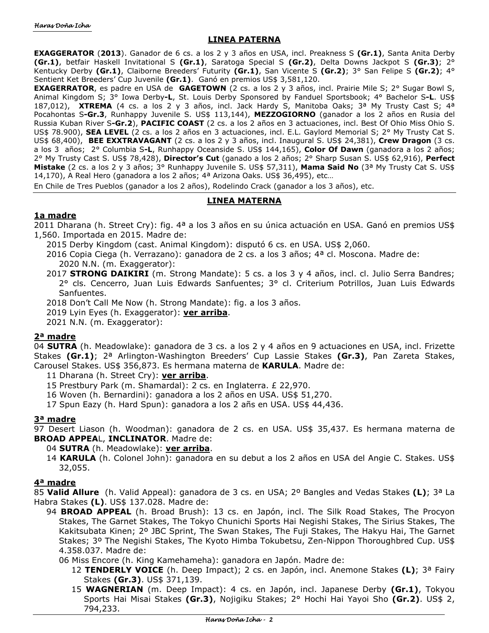### **LINEA PATERNA**

**EXAGGERATOR** (**2013**). Ganador de 6 cs. a los 2 y 3 años en USA, incl. Preakness S **(Gr.1)**, Santa Anita Derby **(Gr.1)**, betfair Haskell Invitational S **(Gr.1)**, Saratoga Special S **(Gr.2)**, Delta Downs Jackpot S **(Gr.3)**; 2° Kentucky Derby **(Gr.1)**, Claiborne Breeders' Futurity **(Gr.1)**, San Vicente S **(Gr.2)**; 3° San Felipe S **(Gr.2)**; 4° Sentient Ket Breeders' Cup Juvenile **(Gr.1)**. Ganó en premios US\$ 3,581,120.

**EXAGERRATOR**, es padre en USA de **GAGETOWN** (2 cs. a los 2 y 3 años, incl. Prairie Mile S; 2° Sugar Bowl S, Animal Kingdom S; 3° Iowa Derby**-L**, St. Louis Derby Sponsored by Fanduel Sportsbook; 4° Bachelor S**-L**. US\$ 187,012), **XTREMA** (4 cs. a los 2 y 3 años, incl. Jack Hardy S, Manitoba Oaks; 3ª My Trusty Cast S; 4ª Pocahontas S**-Gr.3**, Runhappy Juvenile S. US\$ 113,144), **MEZZOGIORNO** (ganador a los 2 años en Rusia del Russia Kuban River S**-Gr.2**), **PACIFIC COAST** (2 cs. a los 2 años en 3 actuaciones, incl. Best Of Ohio Miss Ohio S. US\$ 78.900), **SEA LEVEL** (2 cs. a los 2 años en 3 actuaciones, incl. E.L. Gaylord Memorial S; 2° My Trusty Cat S. US\$ 68,400), **BEE EXXTRAVAGANT** (2 cs. a los 2 y 3 años, incl. Inaugural S. US\$ 24,381), **Crew Dragon** (3 cs. a los 3 años; 2° Columbia S**-L**, Runhappy Oceanside S. US\$ 144,165), **Color Of Dawn** (ganadora a los 2 años; 2° My Trusty Cast S. US\$ 78,428), **Director's Cut** (ganado a los 2 años; 2° Sharp Susan S. US\$ 62,916), **Perfect Mistake** (2 cs. a los 2 y 3 años; 3° Runhappy Juvenile S. US\$ 57,311), **Mama Said No** (3ª My Trusty Cat S. US\$ 14,170), A Real Hero (ganadora a los 2 años; 4ª Arizona Oaks. US\$ 36,495), etc...

En Chile de Tres Pueblos (ganador a los 2 años), Rodelindo Crack (ganador a los 3 años), etc.

### **LINEA MATERNA**

### **1a madre**

2011 Dharana (h. Street Cry): fig. 4ª a los 3 años en su única actuación en USA. Ganó en premios US\$ 1,560. Importada en 2015. Madre de:

2015 Derby Kingdom (cast. Animal Kingdom): disputó 6 cs. en USA. US\$ 2,060.

2016 Copia Ciega (h. Verrazano): ganadora de 2 cs. a los 3 años; 4ª cl. Moscona. Madre de: 2020 N.N. (m. Exaggerator):

2017 **STRONG DAIKIRI** (m. Strong Mandate): 5 cs. a los 3 y 4 años, incl. cl. Julio Serra Bandres; 2° cls. Cencerro, Juan Luis Edwards Sanfuentes; 3° cl. Criterium Potrillos, Juan Luis Edwards Sanfuentes.

2018 Don't Call Me Now (h. Strong Mandate): fig. a los 3 años.

2019 Lyin Eyes (h. Exaggerator): **ver arriba**.

2021 N.N. (m. Exaggerator):

#### **2ª madre**

04 **SUTRA** (h. Meadowlake): ganadora de 3 cs. a los 2 y 4 años en 9 actuaciones en USA, incl. Frizette Stakes **(Gr.1)**; 2ª Arlington-Washington Breeders' Cup Lassie Stakes **(Gr.3)**, Pan Zareta Stakes, Carousel Stakes. US\$ 356,873. Es hermana materna de **KARULA**. Madre de:

11 Dharana (h. Street Cry): **ver arriba**.

- 15 Prestbury Park (m. Shamardal): 2 cs. en Inglaterra. £ 22,970.
- 16 Woven (h. Bernardini): ganadora a los 2 años en USA. US\$ 51,270.

17 Spun Eazy (h. Hard Spun): ganadora a los 2 añs en USA. US\$ 44,436.

#### **3ª madre**

97 Desert Liason (h. Woodman): ganadora de 2 cs. en USA. US\$ 35,437. Es hermana materna de **BROAD APPEA**L, **INCLINATOR**. Madre de:

#### 04 **SUTRA** (h. Meadowlake): **ver arriba**.

14 **KARULA** (h. Colonel John): ganadora en su debut a los 2 años en USA del Angie C. Stakes. US\$ 32,055.

#### **4ª madre**

85 **Valid Allure** (h. Valid Appeal): ganadora de 3 cs. en USA; 2º Bangles and Vedas Stakes **(L)**; 3ª La Habra Stakes **(L)**. US\$ 137.028. Madre de:

- 94 **BROAD APPEAL** (h. Broad Brush): 13 cs. en Japón, incl. The Silk Road Stakes, The Procyon Stakes, The Garnet Stakes, The Tokyo Chunichi Sports Hai Negishi Stakes, The Sirius Stakes, The Kakitsubata Kinen; 2º JBC Sprint, The Swan Stakes, The Fuji Stakes, The Hakyu Hai, The Garnet Stakes; 3º The Negishi Stakes, The Kyoto Himba Tokubetsu, Zen-Nippon Thoroughbred Cup. US\$ 4.358.037. Madre de:
	- 06 Miss Encore (h. King Kamehameha): ganadora en Japón. Madre de:
		- 12 **TENDERLY VOICE** (h. Deep Impact); 2 cs. en Japón, incl. Anemone Stakes **(L)**; 3ª Fairy Stakes **(Gr.3)**. US\$ 371,139.
		- 15 **WAGNERIAN** (m. Deep Impact): 4 cs. en Japón, incl. Japanese Derby **(Gr.1)**, Tokyou Sports Hai Misai Stakes **(Gr.3)**, Nojigiku Stakes; 2° Hochi Hai Yayoi Sho **(Gr.2)**. US\$ 2, 794,233.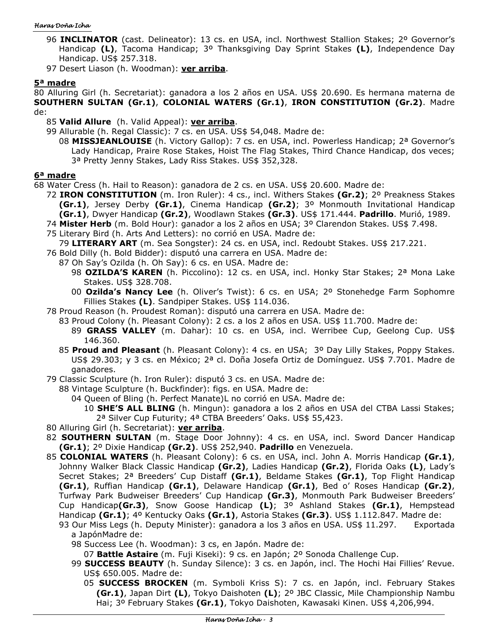#### Haras Doña Icha

- 96 **INCLINATOR** (cast. Delineator): 13 cs. en USA, incl. Northwest Stallion Stakes; 2º Governor's Handicap **(L)**, Tacoma Handicap; 3º Thanksgiving Day Sprint Stakes **(L)**, Independence Day Handicap. US\$ 257.318.
- 97 Desert Liason (h. Woodman): **ver arriba**.

## **5ª madre**

80 Alluring Girl (h. Secretariat): ganadora a los 2 años en USA. US\$ 20.690. Es hermana materna de **SOUTHERN SULTAN (Gr.1)**, **COLONIAL WATERS (Gr.1)**, **IRON CONSTITUTION (Gr.2)**. Madre de:

85 **Valid Allure** (h. Valid Appeal): **ver arriba**.

- 99 Allurable (h. Regal Classic): 7 cs. en USA. US\$ 54,048. Madre de:
	- 08 **MISSJEANLOUISE** (h. Victory Gallop): 7 cs. en USA, incl. Powerless Handicap; 2ª Governor's Lady Handicap, Praire Rose Stakes, Hoist The Flag Stakes, Third Chance Handicap, dos veces; 3ª Pretty Jenny Stakes, Lady Riss Stakes. US\$ 352,328.

### **6ª madre**

68 Water Cress (h. Hail to Reason): ganadora de 2 cs. en USA. US\$ 20.600. Madre de:

- 72 **IRON CONSTITUTION** (m. Iron Ruler): 4 cs., incl. Withers Stakes **(Gr.2)**; 2º Preakness Stakes **(Gr.1)**, Jersey Derby **(Gr.1)**, Cinema Handicap **(Gr.2)**; 3º Monmouth Invitational Handicap **(Gr.1)**, Dwyer Handicap **(Gr.2)**, Woodlawn Stakes **(Gr.3)**. US\$ 171.444. **Padrillo**. Murió, 1989.
- 74 **Mister Herb** (m. Bold Hour): ganador a los 2 años en USA; 3º Clarendon Stakes. US\$ 7.498.
- 75 Literary Bird (h. Arts And Letters): no corrió en USA. Madre de:

79 **LITERARY ART** (m. Sea Songster): 24 cs. en USA, incl. Redoubt Stakes. US\$ 217.221.

- 76 Bold Dilly (h. Bold Bidder): disputó una carrera en USA. Madre de:
	- 87 Oh Say's Ozilda (h. Oh Say): 6 cs. en USA. Madre de:
		- 98 **OZILDA'S KAREN** (h. Piccolino): 12 cs. en USA, incl. Honky Star Stakes; 2ª Mona Lake Stakes. US\$ 328.708.
		- 00 **Ozilda's Nancy Lee** (h. Oliver's Twist): 6 cs. en USA; 2º Stonehedge Farm Sophomre Fillies Stakes **(L)**. Sandpiper Stakes. US\$ 114.036.
- 78 Proud Reason (h. Proudest Roman): disputó una carrera en USA. Madre de:
	- 83 Proud Colony (h. Pleasant Colony): 2 cs. a los 2 años en USA. US\$ 11.700. Madre de:
		- 89 **GRASS VALLEY** (m. Dahar): 10 cs. en USA, incl. Werribee Cup, Geelong Cup. US\$ 146.360.
	- 85 **Proud and Pleasant** (h. Pleasant Colony): 4 cs. en USA; 3º Day Lilly Stakes, Poppy Stakes. US\$ 29.303; y 3 cs. en México; 2ª cl. Doña Josefa Ortiz de Domínguez. US\$ 7.701. Madre de ganadores.
- 79 Classic Sculpture (h. Iron Ruler): disputó 3 cs. en USA. Madre de:
	- 88 Vintage Sculpture (h. Buckfinder): figs. en USA. Madre de:
		- 04 Queen of Bling (h. Perfect Manate)L no corrió en USA. Madre de:

10 **SHE'S ALL BLING** (h. Mingun): ganadora a los 2 años en USA del CTBA Lassi Stakes; 2ª Silver Cup Futurity; 4ª CTBA Breeders' Oaks. US\$ 55,423.

- 80 Alluring Girl (h. Secretariat): **ver arriba**.
- 82 **SOUTHERN SULTAN** (m. Stage Door Johnny): 4 cs. en USA, incl. Sword Dancer Handicap **(Gr.1)**; 2º Dixie Handicap **(Gr.2)**. US\$ 252,940. **Padrillo** en Venezuela.
- 85 **COLONIAL WATERS** (h. Pleasant Colony): 6 cs. en USA, incl. John A. Morris Handicap **(Gr.1)**, Johnny Walker Black Classic Handicap **(Gr.2)**, Ladies Handicap **(Gr.2)**, Florida Oaks **(L)**, Lady's Secret Stakes; 2ª Breeders' Cup Distaff **(Gr.1)**, Beldame Stakes **(Gr.1)**, Top Flight Handicap **(Gr.1)**, Ruffian Handicap **(Gr.1)**, Delaware Handicap **(Gr.1)**, Bed o' Roses Handicap **(Gr.2)**, Turfway Park Budweiser Breeders' Cup Handicap **(Gr.3)**, Monmouth Park Budweiser Breeders' Cup Handicap**(Gr.3)**, Snow Goose Handicap **(L)**; 3º Ashland Stakes **(Gr.1)**, Hempstead Handicap **(Gr.1)**; 4º Kentucky Oaks **(Gr.1)**, Astoria Stakes **(Gr.3)**. US\$ 1.112.847. Madre de:
	- 93 Our Miss Legs (h. Deputy Minister): ganadora a los 3 años en USA. US\$ 11.297. Exportada a JapónMadre de:
		- 98 Success Lee (h. Woodman): 3 cs, en Japón. Madre de:
			- 07 **Battle Astaire** (m. Fuji Kiseki): 9 cs. en Japón; 2º Sonoda Challenge Cup.
		- 99 **SUCCESS BEAUTY** (h. Sunday Silence): 3 cs. en Japón, incl. The Hochi Hai Fillies' Revue. US\$ 650.005. Madre de:
			- 05 **SUCCESS BROCKEN** (m. Symboli Kriss S): 7 cs. en Japón, incl. February Stakes **(Gr.1)**, Japan Dirt **(L)**, Tokyo Daishoten **(L)**; 2º JBC Classic, Mile Championship Nambu Hai; 3º February Stakes **(Gr.1)**, Tokyo Daishoten, Kawasaki Kinen. US\$ 4,206,994.